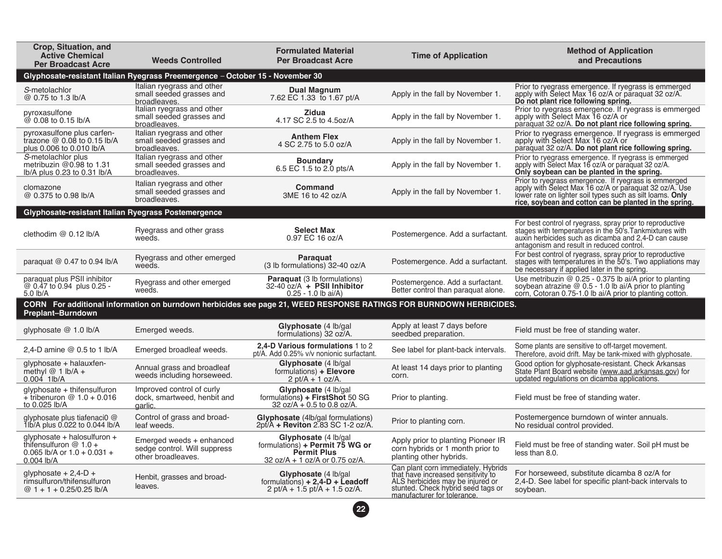| Crop, Situation, and<br><b>Active Chemical</b><br><b>Per Broadcast Acre</b>                              | <b>Weeds Controlled</b>                                                        | <b>Formulated Material</b><br><b>Per Broadcast Acre</b>                                                            | <b>Time of Application</b>                                                                                                                                                         | <b>Method of Application</b><br>and Precautions                                                                                                                                                                                       |
|----------------------------------------------------------------------------------------------------------|--------------------------------------------------------------------------------|--------------------------------------------------------------------------------------------------------------------|------------------------------------------------------------------------------------------------------------------------------------------------------------------------------------|---------------------------------------------------------------------------------------------------------------------------------------------------------------------------------------------------------------------------------------|
|                                                                                                          | Glyphosate-resistant Italian Ryegrass Preemergence - October 15 - November 30  |                                                                                                                    |                                                                                                                                                                                    |                                                                                                                                                                                                                                       |
| S-metolachlor<br>@ 0.75 to 1.3 lb/A                                                                      | Italian ryegrass and other<br>small seeded grasses and<br>broadleaves.         | <b>Dual Magnum</b><br>7.62 EC 1.33 to 1.67 pt/A                                                                    | Apply in the fall by November 1.                                                                                                                                                   | Prior to ryegrass emergence. If ryegrass is emmerged<br>apply with Select Max 16 oz/A or paraquat 32 oz/A.<br>Do not plant rice following spring.                                                                                     |
| pyroxasulfone<br>@ 0.08 to 0.15 lb/A                                                                     | Italian ryegrass and other<br>small seeded grasses and<br>broadleaves.         | <b>Zidua</b><br>4.17 SC 2.5 to 4.5oz/A                                                                             | Apply in the fall by November 1.                                                                                                                                                   | Prior to ryegrass emergence. If ryegrass is emmerged<br>apply with Select Max 16 oz/A or<br>paraquat 32 oz/A. Do not plant rice following spring.                                                                                     |
| pyroxasulfone plus carfen-<br>trazone $@$ 0.08 to 0.15 lb/A<br>plus 0.006 to 0.010 lb/A                  | Italian ryegrass and other<br>small seeded grasses and<br>broadleaves.         | <b>Anthem Flex</b><br>4 SC 2.75 to 5.0 oz/A                                                                        | Apply in the fall by November 1.                                                                                                                                                   | Prior to ryegrass emergence. If ryegrass is emmerged<br>apply with Select Max 16 oz/A or<br>paraquat 32 oz/A. Do not plant rice following spring.                                                                                     |
| S-metolachlor plus<br>metribuzin @0.98 to 1.31<br>lb/A plus 0.23 to 0.31 lb/A                            | Italian ryegrass and other<br>small seeded grasses and<br>broadleaves.         | <b>Boundary</b><br>6.5 EC 1.5 to 2.0 pts/A                                                                         | Apply in the fall by November 1.                                                                                                                                                   | Prior to ryegrass emergence. If ryegrass is emmerged<br>apply with Select Max 16 oz/A or paraquat 32 oz/A.<br>Only soybean can be planted in the spring.                                                                              |
| clomazone<br>@ 0.375 to 0.98 lb/A                                                                        | Italian ryegrass and other<br>small seeded grasses and<br>broadleaves.         | <b>Command</b><br>3ME 16 to 42 oz/A                                                                                | Apply in the fall by November 1.                                                                                                                                                   | Prior to ryegrass emergence. If ryegrass is emmerged<br>apply with Select Max 16 oz/A or paraquat 32 oz/A. Use<br>lower rate on lighter soil types such as silt loams. Only<br>rice, soybean and cotton can be planted in the spring. |
| Glyphosate-resistant Italian Ryegrass Postemergence                                                      |                                                                                |                                                                                                                    |                                                                                                                                                                                    |                                                                                                                                                                                                                                       |
| clethodim @ 0.12 lb/A                                                                                    | Ryegrass and other grass<br>weeds.                                             | <b>Select Max</b><br>0.97 EC 16 oz/A                                                                               | Postemergence. Add a surfactant.                                                                                                                                                   | For best control of ryegrass, spray prior to reproductive<br>stages with temperatures in the 50's Tankmixtures with<br>auxin herbicides such as dicamba and 2,4-D can cause<br>antagonism and result in reduced control.              |
| paraquat $@$ 0.47 to 0.94 lb/A                                                                           | Ryegrass and other emerged<br>weeds.                                           | Paraguat<br>(3 lb formulations) 32-40 oz/A                                                                         | Postemergence. Add a surfactant.                                                                                                                                                   | For best control of ryegrass, spray prior to reproductive<br>stages with temperatures in the 50's. Two appliations may<br>be necessary if applied later in the spring.                                                                |
| paraquat plus PSII inhibitor<br>@ 0.47 to 0.94 plus 0.25 -<br>5.0 lb/A                                   | Ryegrass and other emerged<br>weeds.                                           | Paraquat (3 lb formulations)<br>$32-40$ oz/A + PSII Inhibitor<br>$0.25 - 1.0$ lb ai/A)                             | Postemergence. Add a surfactant.<br>Better control than paraquat alone.                                                                                                            | Use metribuzin @ 0.25 - 0.375 lb ai/A prior to planting<br>soybean atrazine @ 0.5 - 1.0 lb ai/A prior to planting<br>corn, Cotoran 0.75-1.0 lb ai/A prior to planting cotton.                                                         |
| Preplant-Burndown                                                                                        |                                                                                | CORN For additional information on burndown herbicides see page 21, WEED RESPONSE RATINGS FOR BURNDOWN HERBICIDES. |                                                                                                                                                                                    |                                                                                                                                                                                                                                       |
| qlyphosate $@ 1.0$ lb/A                                                                                  | Emerged weeds.                                                                 | Glyphosate (4 lb/gal<br>formulations) 32 oz/A.                                                                     | Apply at least 7 days before<br>seedbed preparation.                                                                                                                               | Field must be free of standing water.                                                                                                                                                                                                 |
| 2,4-D amine $@$ 0.5 to 1 lb/A                                                                            | Emerged broadleaf weeds.                                                       | 2,4-D Various formulations 1 to 2<br>pt/A. Add 0.25% v/v nonionic surfactant.                                      | See label for plant-back intervals.                                                                                                                                                | Some plants are sensitive to off-target movement.<br>Therefore, avoid drift. May be tank-mixed with glyphosate.                                                                                                                       |
| glyphosate + halauxfen-<br>methyl $@1$ Ib/A +<br>$0.004$ 1lb/A                                           | Annual grass and broadleaf<br>weeds including horseweed.                       | Glyphosate (4 lb/gal<br>formulations) + Elevore<br>$2 \text{ pt/A} + 1 \text{ oz/A}.$                              | At least 14 days prior to planting<br>corn.                                                                                                                                        | Good option for glyphosate-resistant. Check Arkansas<br>State Plant Board website (www.aad.arkansas.gov) for<br>updated regulations on dicamba applications.                                                                          |
| glyphosate + thifensulfuron<br>$+$ tribenuron @ 1.0 + 0.016<br>to 0.025 lb/A                             | Improved control of curly<br>dock, smartweed, henbit and<br>garlic.            | Glyphosate (4 lb/gal<br>formulations) + FirstShot 50 SG<br>32 oz/A + 0.5 to 0.8 oz/A.                              | Prior to planting.                                                                                                                                                                 | Field must be free of standing water.                                                                                                                                                                                                 |
| glyphosate plus tiafenaci0 @<br>1lb/A plus 0.022 to 0.044 lb/A                                           | Control of grass and broad-<br>leaf weeds.                                     | <b>Glyphosate</b> (4lb/gal formulations)<br>2pt/A + Reviton 2.83 SC 1-2 oz/A.                                      | Prior to planting corn.                                                                                                                                                            | Postemergence burndown of winter annuals.<br>No residual control provided.                                                                                                                                                            |
| glyphosate + halosulfuron +<br>thifensulfuron $@ 1.0 +$<br>0.065 lb/A or $1.0 + 0.031 +$<br>$0.004$ lb/A | Emerged weeds + enhanced<br>sedge control. Will suppress<br>other broadleaves. | Glyphosate (4 lb/gal<br>formulations) + Permit 75 WG or<br><b>Permit Plus</b><br>32 oz/A + 1 oz/A or 0.75 oz/A.    | Apply prior to planting Pioneer IR<br>corn hybrids or 1 month prior to<br>planting other hybrids.                                                                                  | Field must be free of standing water. Soil pH must be<br>less than 8.0.                                                                                                                                                               |
| glyphosate $+ 2,4$ -D $+$<br>rimsulfuron/thifensulfuron<br>@ $1 + 1 + 0.25/0.25$ lb/A                    | Henbit, grasses and broad-<br>leaves.                                          | Glyphosate (4 lb/gal<br>formulations) $+ 2.4-D +$ Leadoff<br>$2$ pt/A + 1.5 pt/A + 1.5 oz/A.                       | Can plant corn immediately. Hybrids<br>that have increased sensitivity to<br>ALS herbicides may be injured or<br>stunted. Check hybrid seed tags or<br>manufacturer for tolerance. | For horseweed, substitute dicamba 8 oz/A for<br>2,4-D. See label for specific plant-back intervals to<br>soybean.                                                                                                                     |
|                                                                                                          |                                                                                | 22                                                                                                                 |                                                                                                                                                                                    |                                                                                                                                                                                                                                       |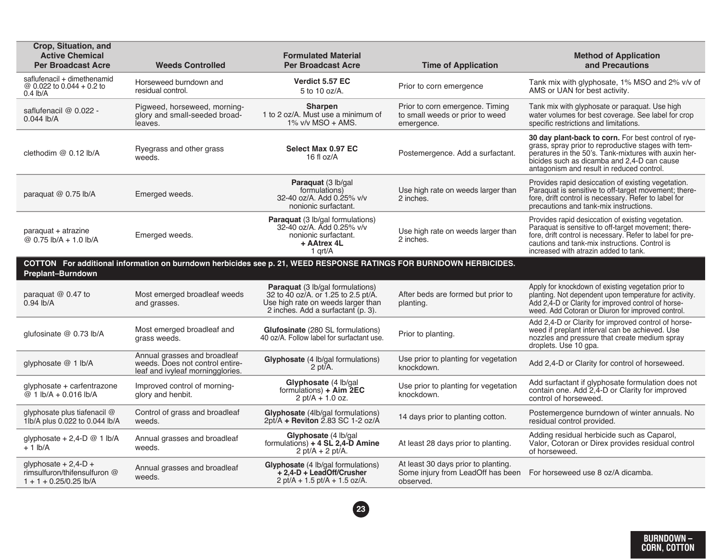| Crop, Situation, and<br><b>Active Chemical</b><br><b>Per Broadcast Acre</b>          | <b>Weeds Controlled</b>                                                                             | <b>Formulated Material</b><br><b>Per Broadcast Acre</b>                                                                                                    | <b>Time of Application</b>                                                            | <b>Method of Application</b><br>and Precautions                                                                                                                                                                                                                    |
|--------------------------------------------------------------------------------------|-----------------------------------------------------------------------------------------------------|------------------------------------------------------------------------------------------------------------------------------------------------------------|---------------------------------------------------------------------------------------|--------------------------------------------------------------------------------------------------------------------------------------------------------------------------------------------------------------------------------------------------------------------|
| saflufenacil + dimethenamid<br>@ 0.022 to 0.044 + 0.2 to<br>$0.4$ lb/A               | Horseweed burndown and<br>residual control.                                                         | Verdict 5.57 EC<br>5 to 10 oz/A.                                                                                                                           | Prior to corn emergence                                                               | Tank mix with glyphosate, 1% MSO and 2% v/v of<br>AMS or UAN for best activity.                                                                                                                                                                                    |
| saflufenacil @ 0.022 -<br>$0.044$ lb/A                                               | Pigweed, horseweed, morning-<br>glory and small-seeded broad-<br>leaves.                            | <b>Sharpen</b><br>1 to 2 oz/A. Must use a minimum of<br>$1\%$ v/v MSO + AMS.                                                                               | Prior to corn emergence. Timing<br>to small weeds or prior to weed<br>emergence.      | Tank mix with glyphosate or paraquat. Use high<br>water volumes for best coverage. See label for crop<br>specific restrictions and limitations.                                                                                                                    |
| clethodim @ 0.12 lb/A                                                                | Ryegrass and other grass<br>weeds.                                                                  | Select Max 0.97 EC<br>16 fl oz/A                                                                                                                           | Postemergence. Add a surfactant.                                                      | 30 day plant-back to corn. For best control of rye-<br>grass, spray prior to reproductive stages with tem-<br>peratures in the 50's. Tank-mixtures with auxin her-<br>bicides such as dicamba and 2.4-D can cause<br>antagonism and result in reduced control.     |
| paraquat $@$ 0.75 lb/A                                                               | Emerged weeds.                                                                                      | <b>Paraguat</b> (3 lb/gal<br>formulations)<br>32-40 oz/A. Add 0.25% v/v<br>nonionic surfactant.                                                            | Use high rate on weeds larger than<br>2 inches.                                       | Provides rapid desiccation of existing vegetation.<br>Paraguat is sensitive to off-target movement; there-<br>fore, drift control is necessary. Refer to label for<br>precautions and tank-mix instructions.                                                       |
| paraquat + atrazine<br>@ $0.75$ lb/A + 1.0 lb/A                                      | Emerged weeds.                                                                                      | Paraquat (3 lb/gal formulations)<br>32-40 oz/A. Add 0.25% v/v<br>nonionic surfactant.<br>+ AAtrex 4L<br>1 grt/A                                            | Use high rate on weeds larger than<br>2 inches.                                       | Provides rapid desiccation of existing vegetation.<br>Paraguat is sensitive to off-target movement; there-<br>fore, drift control is necessary. Refer to label for pre-<br>cautions and tank-mix instructions. Control is<br>increased with atrazin added to tank. |
| <b>Preplant-Burndown</b>                                                             |                                                                                                     | COTTON For additional information on burndown herbicides see p. 21, WEED RESPONSE RATINGS FOR BURNDOWN HERBICIDES.                                         |                                                                                       |                                                                                                                                                                                                                                                                    |
| paraquat $@$ 0.47 to<br>$0.94$ lb/A                                                  | Most emerged broadleaf weeds<br>and grasses.                                                        | <b>Paraquat</b> (3 lb/gal formulations)<br>32 to 40 oz/A. or 1.25 to 2.5 pt/A.<br>Use high rate on weeds larger than<br>2 inches. Add a surfactant (p. 3). | After beds are formed but prior to<br>planting.                                       | Apply for knockdown of existing vegetation prior to<br>planting. Not dependent upon temperature for activity.<br>Add 2,4-D or Clarity for improved control of horse-<br>weed. Add Cotoran or Diuron for improved control.                                          |
| glufosinate @ 0.73 lb/A                                                              | Most emerged broadleaf and<br>grass weeds.                                                          | <b>Glufosinate</b> (280 SL formulations)<br>40 oz/A. Follow label for surfactant use.                                                                      | Prior to planting.                                                                    | Add 2,4-D or Clarity for improved control of horse-<br>weed if preplant interval can be achieved. Use<br>nozzles and pressure that create medium spray<br>droplets. Use 10 gpa.                                                                                    |
| glyphosate @ 1 lb/A                                                                  | Annual grasses and broadleaf<br>weeds. Does not control entire-<br>leaf and ivyleaf morningglories. | Glyphosate (4 lb/gal formulations)<br>$2$ pt/ $A$ .                                                                                                        | Use prior to planting for vegetation<br>knockdown.                                    | Add 2,4-D or Clarity for control of horseweed.                                                                                                                                                                                                                     |
| glyphosate + carfentrazone<br>@ $1$ lb/A + 0.016 lb/A                                | Improved control of morning-<br>glory and henbit.                                                   | Glyphosate (4 lb/gal<br>formulations) + $\overrightarrow{A}$ im $\overrightarrow{2EC}$<br>$2$ pt/A + 1.0 oz.                                               | Use prior to planting for vegetation<br>knockdown.                                    | Add surfactant if glyphosate formulation does not<br>contain one. Add 2,4-D or Clarity for improved<br>control of horseweed.                                                                                                                                       |
| glyphosate plus tiafenacil @<br>1lb/A plus 0.022 to 0.044 lb/A                       | Control of grass and broadleaf<br>weeds.                                                            | <b>Glyphosate</b> (4lb/gal formulations)<br>2pt/A + Reviton 2.83 SC 1-2 oz/A                                                                               | 14 days prior to planting cotton.                                                     | Postemergence burndown of winter annuals. No<br>residual control provided.                                                                                                                                                                                         |
| glyphosate + 2,4-D $@$ 1 lb/A<br>$+1$ lb/A                                           | Annual grasses and broadleaf<br>weeds.                                                              | Glyphosate (4 lb/gal<br>formulations) $+ 4 SL 2,4-D$ Amine<br>2 pt/A + 2 pt/A.                                                                             | At least 28 days prior to planting.                                                   | Adding residual herbicide such as Caparol,<br>Valor, Cotoran or Direx provides residual control<br>of horseweed.                                                                                                                                                   |
| qlyphosate $+ 2.4 - D +$<br>rimsulfuron/thifensulfuron @<br>$1 + 1 + 0.25/0.25$ lb/A | Annual grasses and broadleaf<br>weeds.                                                              | Glyphosate (4 lb/gal formulations)<br>+ 2.4-D + LeadOff/Crusher<br>$2$ pt/A + 1.5 pt/A + 1.5 oz/A.                                                         | At least 30 days prior to planting.<br>Some injury from LeadOff has been<br>observed. | For horseweed use 8 oz/A dicamba.                                                                                                                                                                                                                                  |



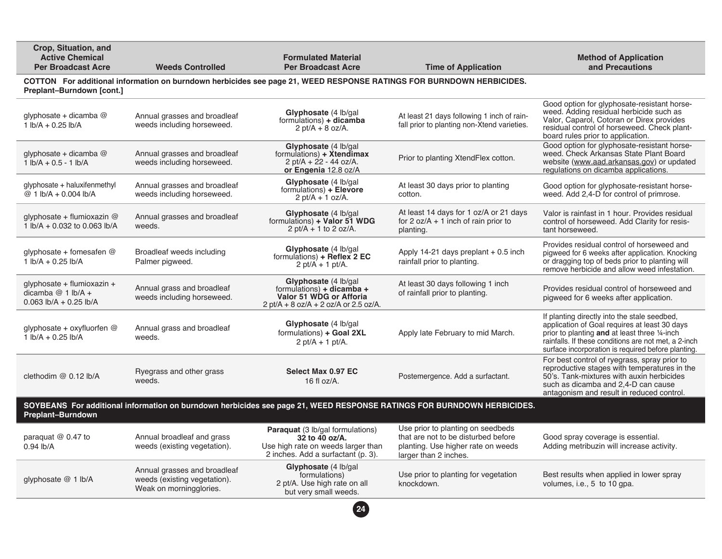| Crop, Situation, and<br><b>Active Chemical</b><br><b>Per Broadcast Acre</b>                                                                                                                                                                                                                                                            | <b>Weeds Controlled</b>                                                                 | <b>Formulated Material</b><br><b>Per Broadcast Acre</b>                                                                               | <b>Time of Application</b>                                                                                                              | <b>Method of Application</b><br>and Precautions                                                                                                                                                                                                              |  |  |
|----------------------------------------------------------------------------------------------------------------------------------------------------------------------------------------------------------------------------------------------------------------------------------------------------------------------------------------|-----------------------------------------------------------------------------------------|---------------------------------------------------------------------------------------------------------------------------------------|-----------------------------------------------------------------------------------------------------------------------------------------|--------------------------------------------------------------------------------------------------------------------------------------------------------------------------------------------------------------------------------------------------------------|--|--|
| COTTON For additional information on burndown herbicides see page 21, WEED RESPONSE RATINGS FOR BURNDOWN HERBICIDES.<br>Preplant-Burndown [cont.]                                                                                                                                                                                      |                                                                                         |                                                                                                                                       |                                                                                                                                         |                                                                                                                                                                                                                                                              |  |  |
| glyphosate + dicamba $@$<br>$1$ lb/A + 0.25 lb/A                                                                                                                                                                                                                                                                                       | Annual grasses and broadleaf<br>weeds including horseweed.                              | Glyphosate (4 lb/gal<br>formulations) + dicamba<br>2 pt/A + 8 oz/A.                                                                   | At least 21 days following 1 inch of rain-<br>fall prior to planting non-Xtend varieties.                                               | Good option for glyphosate-resistant horse-<br>weed. Adding residual herbicide such as<br>Valor, Caparol, Cotoran or Direx provides<br>residual control of horseweed. Check plant-<br>board rules prior to application.                                      |  |  |
| glyphosate + dicamba $@$<br>$1$ lb/A + 0.5 - 1 lb/A                                                                                                                                                                                                                                                                                    | Annual grasses and broadleaf<br>weeds including horseweed.                              | Glyphosate (4 lb/gal<br>formulations) + Xtendimax<br>$2 \text{ pt/A} + 22 - 44 \text{ oz/A}.$<br>or Engenia 12.8 oz/A                 | Prior to planting XtendFlex cotton.                                                                                                     | Good option for glyphosate-resistant horse-<br>weed. Check Arkansas State Plant Board<br>website (www.aad.arkansas.gov) or updated<br>regulations on dicamba applications.                                                                                   |  |  |
| glyphosate + haluxifenmethyl<br>@ 1 lb/A + 0.004 lb/A                                                                                                                                                                                                                                                                                  | Annual grasses and broadleaf<br>weeds including horseweed.                              | Glyphosate (4 lb/gal<br>formulations) + Elevore<br>2 pt/A + 1 oz/A.                                                                   | At least 30 days prior to planting<br>cotton.                                                                                           | Good option for glyphosate-resistant horse-<br>weed. Add 2,4-D for control of primrose.                                                                                                                                                                      |  |  |
| glyphosate + flumioxazin $@$<br>1 lb/A + 0.032 to 0.063 lb/A                                                                                                                                                                                                                                                                           | Annual grasses and broadleaf<br>weeds.                                                  | Glyphosate (4 lb/gal<br>formulations) + Valor 51 WDG<br>2 pt/A + 1 to 2 oz/A.                                                         | At least 14 days for 1 oz/A or 21 days<br>for $2 oz/A + 1$ inch of rain prior to<br>planting.                                           | Valor is rainfast in 1 hour. Provides residual<br>control of horseweed. Add Clarity for resis-<br>tant horseweed.                                                                                                                                            |  |  |
| glyphosate + fomesafen @<br>$1$ lb/A + 0.25 lb/A                                                                                                                                                                                                                                                                                       | Broadleaf weeds including<br>Palmer pigweed.                                            | Glyphosate (4 lb/gal)<br>formulations) + Reflex 2 EC<br>2 pt/A + 1 pt/A.                                                              | Apply 14-21 days preplant $+$ 0.5 inch<br>rainfall prior to planting.                                                                   | Provides residual control of horseweed and<br>pigweed for 6 weeks after application. Knocking<br>or dragging top of beds prior to planting will<br>remove herbicide and allow weed infestation.                                                              |  |  |
| glyphosate + flumioxazin +<br>dicamba $@1$ lb/A +<br>0.063 $\frac{1}{2}$ + 0.25 $\frac{1}{2}$ + 0.25 $\frac{1}{2}$ + 0.25 $\frac{1}{2}$ + 0.25 $\frac{1}{2}$ + 0.25 $\frac{1}{2}$ + 0.25 $\frac{1}{2}$ + 0.25 $\frac{1}{2}$ + 0.25 $\frac{1}{2}$ + 0.25 $\frac{1}{2}$ + 0.25 $\frac{1}{2}$ + 0.25 $\frac{1}{2}$ + 0.25 $\frac{1}{2}$ + | Annual grass and broadleaf<br>weeds including horseweed.                                | Glyphosate (4 lb/gal<br>formulations) $+$ dicamba $+$<br>Valor 51 WDG or Afforia<br>$2$ pt/A + 8 oz/A + 2 oz/A or 2.5 oz/A.           | At least 30 days following 1 inch<br>of rainfall prior to planting.                                                                     | Provides residual control of horseweed and<br>pigweed for 6 weeks after application.                                                                                                                                                                         |  |  |
| glyphosate + oxyfluorfen @<br>$1$ lb/A + 0.25 lb/A                                                                                                                                                                                                                                                                                     | Annual grass and broadleaf<br>weeds.                                                    | Glyphosate (4 lb/gal<br>formulations) + Goal 2XL<br>$2 \text{ pt/A} + 1 \text{ pt/A}.$                                                | Apply late February to mid March.                                                                                                       | If planting directly into the stale seedbed,<br>application of Goal requires at least 30 days<br>prior to planting and at least three 1/4-inch<br>rainfalls. If these conditions are not met, a 2-inch<br>surface incorporation is required before planting. |  |  |
| clethodim @ 0.12 lb/A                                                                                                                                                                                                                                                                                                                  | Ryegrass and other grass<br>weeds.                                                      | Select Max 0.97 EC<br>16 fl $oz/A$ .                                                                                                  | Postemergence. Add a surfactant.                                                                                                        | For best control of ryegrass, spray prior to<br>reproductive stages with temperatures in the<br>50's. Tank-mixtures with auxin herbicides<br>such as dicamba and 2,4-D can cause<br>antagonism and result in reduced control.                                |  |  |
| SOYBEANS For additional information on burndown herbicides see page 21, WEED RESPONSE RATINGS FOR BURNDOWN HERBICIDES.<br>Preplant-Burndown                                                                                                                                                                                            |                                                                                         |                                                                                                                                       |                                                                                                                                         |                                                                                                                                                                                                                                                              |  |  |
| paraquat $@$ 0.47 to<br>$0.94$ lb/A                                                                                                                                                                                                                                                                                                    | Annual broadleaf and grass<br>weeds (existing vegetation).                              | <b>Paraquat</b> (3 lb/gal formulations)<br>32 to 40 oz/A.<br>Use high rate on weeds larger than<br>2 inches. Add a surfactant (p. 3). | Use prior to planting on seedbeds<br>that are not to be disturbed before<br>planting. Use higher rate on weeds<br>larger than 2 inches. | Good spray coverage is essential.<br>Adding metribuzin will increase activity.                                                                                                                                                                               |  |  |
| glyphosate @ 1 lb/A                                                                                                                                                                                                                                                                                                                    | Annual grasses and broadleaf<br>weeds (existing vegetation).<br>Weak on morningglories. | Glyphosate (4 lb/gal<br>formulations)<br>2 pt/A. Use high rate on all<br>but very small weeds.                                        | Use prior to planting for vegetation<br>knockdown.                                                                                      | Best results when applied in lower spray<br>volumes, i.e., 5 to 10 gpa.                                                                                                                                                                                      |  |  |
|                                                                                                                                                                                                                                                                                                                                        |                                                                                         | 24                                                                                                                                    |                                                                                                                                         |                                                                                                                                                                                                                                                              |  |  |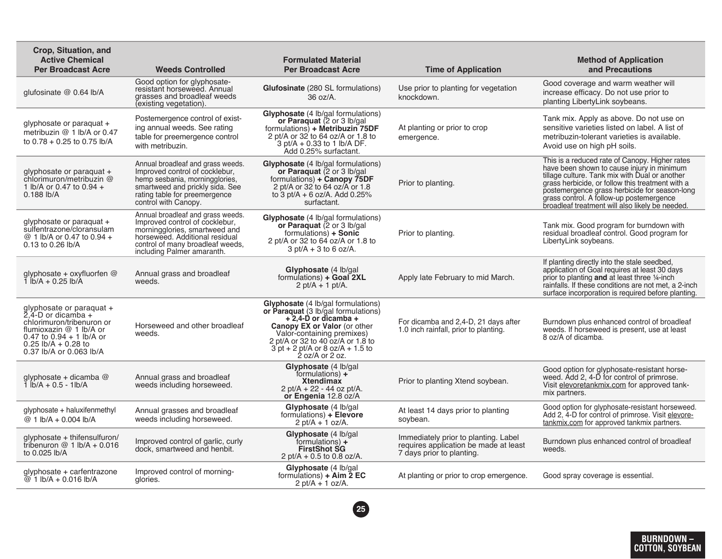| Crop, Situation, and<br><b>Active Chemical</b><br><b>Per Broadcast Acre</b>                                                                                                            | <b>Weeds Controlled</b>                                                                                                                                                                                  | <b>Formulated Material</b><br><b>Per Broadcast Acre</b>                                                                                                                                                                                                                    | <b>Time of Application</b>                                                                                 | <b>Method of Application</b><br>and Precautions                                                                                                                                                                                                                                                                                                   |
|----------------------------------------------------------------------------------------------------------------------------------------------------------------------------------------|----------------------------------------------------------------------------------------------------------------------------------------------------------------------------------------------------------|----------------------------------------------------------------------------------------------------------------------------------------------------------------------------------------------------------------------------------------------------------------------------|------------------------------------------------------------------------------------------------------------|---------------------------------------------------------------------------------------------------------------------------------------------------------------------------------------------------------------------------------------------------------------------------------------------------------------------------------------------------|
| glufosinate @ 0.64 lb/A                                                                                                                                                                | Good option for glyphosate-<br>resistant horseweed. Annual<br>grasses and broadleaf weeds<br>(existing vegetation).                                                                                      | <b>Glufosinate</b> (280 SL formulations)<br>36 oz/A.                                                                                                                                                                                                                       | Use prior to planting for vegetation<br>knockdown.                                                         | Good coverage and warm weather will<br>increase efficacy. Do not use prior to<br>planting LibertyLink soybeans.                                                                                                                                                                                                                                   |
| glyphosate or paraquat +<br>metribuzin @ 1 lb/A or 0.47<br>to $0.78 + 0.25$ to $0.75$ lb/A                                                                                             | Postemergence control of exist-<br>ing annual weeds. See rating<br>table for preemergence control<br>with metribuzin.                                                                                    | <b>Glyphosate</b> (4 lb/gal formulations)<br>or Paraquat (2 or 3 lb/gal<br>formulations) + Metribuzin 75DF<br>2 pt/A or $32'$ to 64 oz/A or 1.8 to<br>$3$ pt/A + 0.33 to 1 lb/A DF.<br>Add 0.25% surfactant.                                                               | At planting or prior to crop<br>emergence.                                                                 | Tank mix. Apply as above. Do not use on<br>sensitive varieties listed on label. A list of<br>metribuzin-tolerant varieties is available.<br>Avoid use on high pH soils.                                                                                                                                                                           |
| glyphosate or paraquat +<br>chlorimuron/metribuzin @<br>1 lb/A or 0.47 to 0.94 +<br>$0.188$ lb/A                                                                                       | Annual broadleaf and grass weeds.<br>Improved control of cocklebur,<br>hemp sesbania, morningglories,<br>smartweed and prickly sida. See<br>rating table for preemergence<br>control with Canopy.        | <b>Glyphosate</b> (4 lb/gal formulations)<br>or Paraguat (2 or 3 lb/gal)<br>formulations) + Canopy 75DF<br>2 pt/A or 32 to 64 oz/A or 1.8<br>to 3 pt/A + 6 oz/A. Add $0.25\%$<br>surfactant.                                                                               | Prior to planting.                                                                                         | This is a reduced rate of Canopy. Higher rates<br>have been shown to cause injury in minimum<br>tillage culture. Tank mix with Dual or another<br>grass herbicide, or follow this treatment with a<br>postemergence grass herbicide for season-long<br>grass control. A follow-up postemergence<br>broadleaf treatment will also likely be needed |
| glyphosate or paraquat +<br>sulfentrazone/cloransulam<br>@ 1 lb/A or 0.47 to 0.94 +<br>0.13 to 0.26 lb/A                                                                               | Annual broadleaf and grass weeds.<br>Improved control of cocklebur,<br>morningglories, smartweed and<br>horseweed. Additional residual<br>control of many broadleaf weeds,<br>including Palmer amaranth. | <b>Glyphosate</b> (4 lb/gal formulations)<br>or Paraquat (2 or 3 lb/gal<br>formulations) + Sonic<br>2 pt/A or 32 to 64 oz/A or 1.8 to<br>$3$ pt/A + 3 to 6 oz/A.                                                                                                           | Prior to planting.                                                                                         | Tank mix. Good program for burndown with<br>residual broadleaf control. Good program for<br>LibertyLink soybeans.                                                                                                                                                                                                                                 |
| glyphosate + oxyfluorfen @<br>1 $\frac{1}{2}$ A + 0.25 $\frac{1}{2}$ b/A                                                                                                               | Annual grass and broadleaf<br>weeds.                                                                                                                                                                     | Glyphosate (4 lb/gal<br>formulations) + Goal 2XL<br>2 pt/A + 1 pt/A.                                                                                                                                                                                                       | Apply late February to mid March.                                                                          | If planting directly into the stale seedbed,<br>application of Goal requires at least 30 days<br>prior to planting and at least three 1/4-inch<br>rainfalls. If these conditions are not met, a 2-inch<br>surface incorporation is required before planting.                                                                                      |
| glyphosate or paraquat +<br>2,4-D or dicamba +<br>chlorimuron/tribenuron or<br>flumioxazin @ 1 lb/A or<br>0.47 to $0.94 + 1$ lb/A or<br>0.25 lb/A + 0.28 to<br>0.37 lb/A or 0.063 lb/A | Horseweed and other broadleaf<br>weeds.                                                                                                                                                                  | Glyphosate (4 lb/gal formulations)<br>or Paraquat (3 lb/gal formulations)<br>$+2.4 - D$ or dicamba $+$<br>Canopy EX or Valor (or other<br>Valor-containing premixes)<br>2 pt/A or 32 to 40 oz/A or 1.8 to<br>$3$ pt + 2 pt/A or 8 oz/A + 1.5 to<br>$\dot{2}$ oz/A or 2 oz. | For dicamba and 2,4-D, 21 days after<br>1.0 inch rainfall, prior to planting.                              | Burndown plus enhanced control of broadleaf<br>weeds. If horseweed is present, use at least<br>8 oz/A of dicamba.                                                                                                                                                                                                                                 |
| glyphosate + dicamba $@$<br>$1$ lb/A + 0.5 - 1lb/A                                                                                                                                     | Annual grass and broadleaf<br>weeds including horseweed.                                                                                                                                                 | Glyphosate (4 lb/gal<br>formulations) $+$<br><b>Xtendimax</b><br>$2$ pt/A + 22 - 44 oz pt/A.<br>or Engenia 12.8 oz/A                                                                                                                                                       | Prior to planting Xtend soybean.                                                                           | Good option for glyphosate-resistant horse-<br>weed. Add 2, 4-D for control of primrose.<br>Visit elevoretankmix.com for approved tank-<br>mix partners.                                                                                                                                                                                          |
| glyphosate + haluxifenmethyl<br>@ 1 lb/A + 0.004 lb/A                                                                                                                                  | Annual grasses and broadleaf<br>weeds including horseweed.                                                                                                                                               | Glyphosate (4 lb/gal<br>formulations) + Elevore<br>$2$ pt/A + 1 oz/A.                                                                                                                                                                                                      | At least 14 days prior to planting<br>soybean.                                                             | Good option for glyphosate-resistant horseweed.<br>Add 2, 4-D for control of primrose. Visit elevore-<br>tankmix.com for approved tankmix partners.                                                                                                                                                                                               |
| glyphosate + thifensulfuron/<br>tribenuron $@1$ Ib/A + 0.016<br>to 0.025 lb/A                                                                                                          | Improved control of garlic, curly<br>dock, smartweed and henbit.                                                                                                                                         | Glyphosate (4 lb/gal)<br>formulations) $+$<br><b>FirstShot SG</b><br>2 pt/A + 0.5 to 0.8 oz/A.                                                                                                                                                                             | Immediately prior to planting. Label<br>requires application be made at least<br>7 days prior to planting. | Burndown plus enhanced control of broadleaf<br>weeds.                                                                                                                                                                                                                                                                                             |
| glyphosate + carfentrazone<br>@ $1$ lb/A + 0.016 lb/A                                                                                                                                  | Improved control of morning-<br>glories.                                                                                                                                                                 | Glyphosate (4 lb/gal<br>formulations) + $\overleftrightarrow{A}$ im $\overleftrightarrow{2}$ EC<br>2 pt/A + 1 oz/A.                                                                                                                                                        | At planting or prior to crop emergence.                                                                    | Good spray coverage is essential.                                                                                                                                                                                                                                                                                                                 |

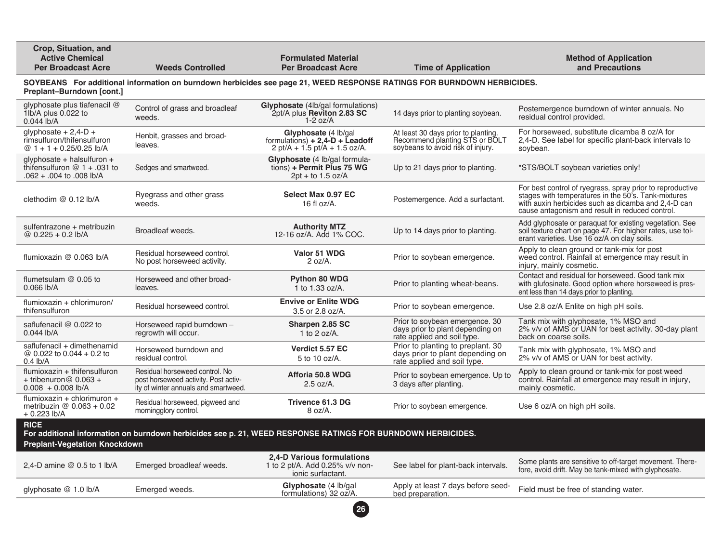| Crop, Situation, and<br><b>Active Chemical</b><br><b>Per Broadcast Acre</b>                                                                         | <b>Weeds Controlled</b>                                                                                        | <b>Formulated Material</b><br><b>Per Broadcast Acre</b>                                        | <b>Time of Application</b>                                                                                 | <b>Method of Application</b><br>and Precautions                                                                                                                                                                            |  |  |
|-----------------------------------------------------------------------------------------------------------------------------------------------------|----------------------------------------------------------------------------------------------------------------|------------------------------------------------------------------------------------------------|------------------------------------------------------------------------------------------------------------|----------------------------------------------------------------------------------------------------------------------------------------------------------------------------------------------------------------------------|--|--|
| SOYBEANS For additional information on burndown herbicides see page 21, WEED RESPONSE RATINGS FOR BURNDOWN HERBICIDES.<br>Preplant-Burndown [cont.] |                                                                                                                |                                                                                                |                                                                                                            |                                                                                                                                                                                                                            |  |  |
| glyphosate plus tiafenacil @<br>1lb/A plus 0.022 to<br>0.044 lb/A                                                                                   | Control of grass and broadleaf<br>weeds.                                                                       | Glyphosate (4lb/gal formulations)<br>2pt/A plus Reviton 2.83 SC<br>$1-2$ oz/A                  | 14 days prior to planting soybean.                                                                         | Postemergence burndown of winter annuals. No<br>residual control provided.                                                                                                                                                 |  |  |
| glyphosate $+ 2,4$ -D $+$<br>rimsulfuron/thifensulfuron<br>@ $1 + 1 + 0.25/0.25$ lb/A                                                               | Henbit, grasses and broad-<br>leaves.                                                                          | Glyphosate (4 lb/gal)<br>formulations) $+ 2,4$ -D $+$ Leadoff<br>2 pt/A + 1.5 pt/A + 1.5 oz/A. | At least 30 days prior to planting.<br>Recommend planting STS or BOLT<br>soybeans to avoid risk of injury. | For horseweed, substitute dicamba 8 oz/A for<br>2,4-D. See label for specific plant-back intervals to<br>soybean.                                                                                                          |  |  |
| glyphosate + halsulfuron +<br>thifensulfuron $@1 + .031$ to<br>A/dl 800. of 400. + 260.                                                             | Sedges and smartweed.                                                                                          | Glyphosate (4 lb/gal formula-<br>tions) + Permit Plus 75 WG<br>$2pt + to 1.5 oz/A$             | Up to 21 days prior to planting.                                                                           | *STS/BOLT soybean varieties only!                                                                                                                                                                                          |  |  |
| clethodim $@$ 0.12 lb/A                                                                                                                             | Ryegrass and other grass<br>weeds.                                                                             | Select Max 0.97 EC<br>16 fl $oz/A$ .                                                           | Postemergence. Add a surfactant.                                                                           | For best control of ryegrass, spray prior to reproductive<br>stages with temperatures in the 50's. Tank-mixtures<br>with auxin herbicides such as dicamba and 2.4-D can<br>cause antagonism and result in reduced control. |  |  |
| sulfentrazone + metribuzin<br>@ $0.225 + 0.2$ lb/A                                                                                                  | Broadleaf weeds.                                                                                               | <b>Authority MTZ</b><br>12-16 oz/A. Add 1% COC.                                                | Up to 14 days prior to planting.                                                                           | Add glyphosate or paraquat for existing vegetation. See<br>soil texture chart on page 47. For higher rates, use tol-<br>erant varieties. Use 16 oz/A on clay soils.                                                        |  |  |
| flumioxazin @ 0.063 lb/A                                                                                                                            | Residual horseweed control.<br>No post horseweed activity.                                                     | Valor 51 WDG<br>$2 oz/A$ .                                                                     | Prior to soybean emergence.                                                                                | Apply to clean ground or tank-mix for post<br>weed control. Rainfall at emergence may result in<br>injury, mainly cosmetic.                                                                                                |  |  |
| flumetsulam $@$ 0.05 to<br>$0.066$ lb/A                                                                                                             | Horseweed and other broad-<br>leaves.                                                                          | Python 80 WDG<br>1 to $1.33$ oz/A.                                                             | Prior to planting wheat-beans.                                                                             | Contact and residual for horseweed. Good tank mix<br>with glufosinate. Good option where horseweed is pres-<br>ent less than 14 days prior to planting.                                                                    |  |  |
| flumioxazin + chlorimuron/<br>thifensulfuron                                                                                                        | Residual horseweed control.                                                                                    | <b>Envive or Enlite WDG</b><br>3.5 or 2.8 oz/A.                                                | Prior to soybean emergence.                                                                                | Use 2.8 oz/A Enlite on high pH soils.                                                                                                                                                                                      |  |  |
| saflufenacil @ 0.022 to<br>$0.044$ lb/A                                                                                                             | Horseweed rapid burndown -<br>regrowth will occur.                                                             | Sharpen 2.85 SC<br>1 to 2 oz/A.                                                                | Prior to soybean emergence. 30<br>days prior to plant depending on<br>rate applied and soil type.          | Tank mix with glyphosate, 1% MSO and<br>2% v/v of AMS or UAN for best activity. 30-day plant<br>back on coarse soils.                                                                                                      |  |  |
| saflufenacil + dimethenamid<br>@ 0.022 to 0.044 + 0.2 to<br>$0.4$ lb/A                                                                              | Horseweed burndown and<br>residual control.                                                                    | Verdict 5.57 EC<br>5 to 10 oz/A.                                                               | Prior to planting to preplant. 30<br>days prior to plant depending on<br>rate applied and soil type.       | Tank mix with glyphosate, 1% MSO and<br>2% v/v of AMS or UAN for best activity.                                                                                                                                            |  |  |
| flumioxazin + thifensulfuron<br>+ tribenuron $@$ 0.063 +<br>$0.008 + 0.008$ lb/A                                                                    | Residual horseweed control. No<br>post horseweed activity. Post activ-<br>ity of winter annuals and smartweed. | Afforia 50.8 WDG<br>$2.5$ oz/A.                                                                | Prior to soybean emergence. Up to<br>3 days after planting.                                                | Apply to clean ground or tank-mix for post weed<br>control. Rainfall at emergence may result in injury,<br>mainly cosmetic.                                                                                                |  |  |
| flumioxazin + chlorimuron +<br>metribuzin $@$ 0.063 + 0.02<br>$+0.223$ lb/A                                                                         | Residual horseweed, pigweed and<br>morningglory control.                                                       | Trivence 61.3 DG<br>8 oz/A.                                                                    | Prior to soybean emergence.                                                                                | Use 6 oz/A on high pH soils.                                                                                                                                                                                               |  |  |
| <b>RICE</b><br>For additional information on burndown herbicides see p. 21, WEED RESPONSE RATINGS FOR BURNDOWN HERBICIDES.                          |                                                                                                                |                                                                                                |                                                                                                            |                                                                                                                                                                                                                            |  |  |
| <b>Preplant-Vegetation Knockdown</b>                                                                                                                |                                                                                                                |                                                                                                |                                                                                                            |                                                                                                                                                                                                                            |  |  |
| 2,4-D amine @ 0.5 to 1 lb/A                                                                                                                         | Emerged broadleaf weeds.                                                                                       | 2,4-D Various formulations<br>1 to 2 pt/A. Add 0.25% v/v non-<br>ionic surfactant.             | See label for plant-back intervals.                                                                        | Some plants are sensitive to off-target movement. There-<br>fore, avoid drift. May be tank-mixed with glyphosate.                                                                                                          |  |  |
| glyphosate @ 1.0 lb/A                                                                                                                               | Emerged weeds.                                                                                                 | Glyphosate (4 lb/gal<br>formulations) 32 oz/A.                                                 | Apply at least 7 days before seed-<br>bed preparation.                                                     | Field must be free of standing water.                                                                                                                                                                                      |  |  |
|                                                                                                                                                     |                                                                                                                | (26)                                                                                           |                                                                                                            |                                                                                                                                                                                                                            |  |  |